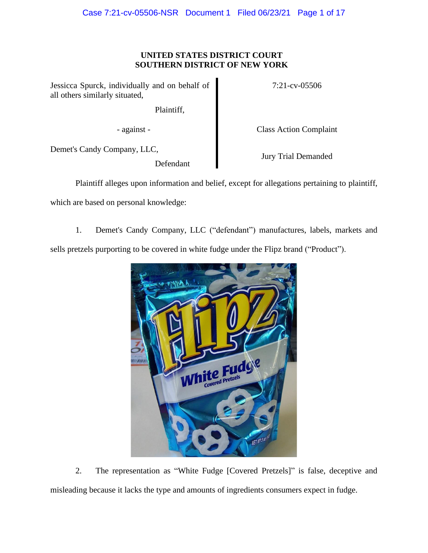# **UNITED STATES DISTRICT COURT SOUTHERN DISTRICT OF NEW YORK**

Jessicca Spurck, individually and on behalf of all others similarly situated,

Plaintiff,

- against - Class Action Complaint

7:21-cv-05506

Demet's Candy Company, LLC,

Defendant

Jury Trial Demanded

Plaintiff alleges upon information and belief, except for allegations pertaining to plaintiff,

which are based on personal knowledge:

1. Demet's Candy Company, LLC ("defendant") manufactures, labels, markets and sells pretzels purporting to be covered in white fudge under the Flipz brand ("Product").



2. The representation as "White Fudge [Covered Pretzels]" is false, deceptive and misleading because it lacks the type and amounts of ingredients consumers expect in fudge.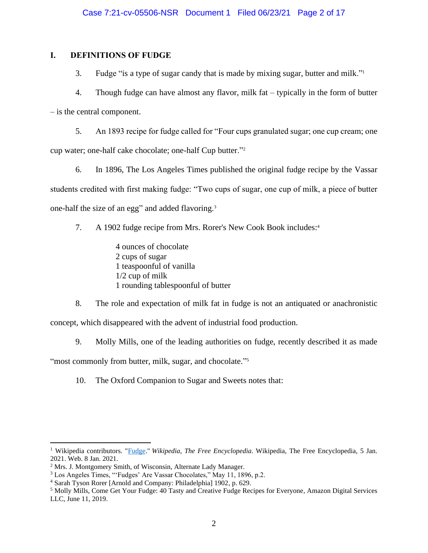# **I. DEFINITIONS OF FUDGE**

3. Fudge "is a type of sugar candy that is made by mixing sugar, butter and milk."<sup>1</sup>

4. Though fudge can have almost any flavor, milk fat – typically in the form of butter – is the central component.

5. An 1893 recipe for fudge called for "Four cups granulated sugar; one cup cream; one cup water; one-half cake chocolate; one-half Cup butter."<sup>2</sup>

6. In 1896, The Los Angeles Times published the original fudge recipe by the Vassar students credited with first making fudge: "Two cups of sugar, one cup of milk, a piece of butter one-half the size of an egg" and added flavoring.<sup>3</sup>

7. A 1902 fudge recipe from Mrs. Rorer's New Cook Book includes: 4

4 ounces of chocolate 2 cups of sugar 1 teaspoonful of vanilla 1/2 cup of milk 1 rounding tablespoonful of butter

8. The role and expectation of milk fat in fudge is not an antiquated or anachronistic concept, which disappeared with the advent of industrial food production.

9. Molly Mills, one of the leading authorities on fudge, recently described it as made "most commonly from butter, milk, sugar, and chocolate."<sup>5</sup>

10. The Oxford Companion to Sugar and Sweets notes that:

<sup>1</sup> Wikipedia contributors. ["Fudge.](https://en.wikipedia.org/wiki/Fudge)" *Wikipedia, The Free Encyclopedia*. Wikipedia, The Free Encyclopedia, 5 Jan. 2021. Web. 8 Jan. 2021.

<sup>2</sup> Mrs. J. Montgomery Smith, of Wisconsin, Alternate Lady Manager.

<sup>3</sup> Los Angeles Times, "'Fudges' Are Vassar Chocolates," May 11, 1896, p.2.

<sup>4</sup> Sarah Tyson Rorer [Arnold and Company: Philadelphia] 1902, p. 629.

<sup>5</sup> Molly Mills, Come Get Your Fudge: 40 Tasty and Creative Fudge Recipes for Everyone, Amazon Digital Services LLC, June 11, 2019.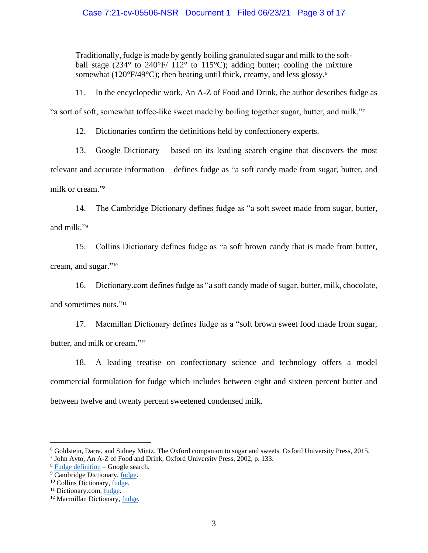Traditionally, fudge is made by gently boiling granulated sugar and milk to the softball stage (234 $\degree$  to 240 $\degree$ F/ 112 $\degree$  to 115 $\degree$ C); adding butter; cooling the mixture somewhat ( $120^{\circ}F/49^{\circ}C$ ); then beating until thick, creamy, and less glossy.<sup>6</sup>

11. In the encyclopedic work, An A-Z of Food and Drink, the author describes fudge as

"a sort of soft, somewhat toffee-like sweet made by boiling together sugar, butter, and milk."<sup>7</sup>

12. Dictionaries confirm the definitions held by confectionery experts.

13. Google Dictionary – based on its leading search engine that discovers the most relevant and accurate information – defines fudge as "a soft candy made from sugar, butter, and milk or cream." 8

14. The Cambridge Dictionary defines fudge as "a soft sweet made from sugar, butter, and milk."<sup>9</sup>

15. Collins Dictionary defines fudge as "a soft brown candy that is made from butter, cream, and sugar." 10

16. Dictionary.com defines fudge as "a soft candy made of sugar, butter, milk, chocolate, and sometimes nuts." 11

17. Macmillan Dictionary defines fudge as a "soft brown sweet food made from sugar, butter, and milk or cream."<sup>12</sup>

18. A leading treatise on confectionary science and technology offers a model commercial formulation for fudge which includes between eight and sixteen percent butter and between twelve and twenty percent sweetened condensed milk.

<sup>6</sup> Goldstein, Darra, and Sidney Mintz. The Oxford companion to sugar and sweets. Oxford University Press, 2015.

<sup>7</sup> John Ayto, An A-Z of Food and Drink, Oxford University Press, 2002, p. 133.

<sup>8</sup> [Fudge definition](https://www.google.com/search?q=fudge+definition&rlz=1C1GCEA_enUS893US893&oq=fudge+defi&aqs=chrome.0.0i457j69i57j0j0i22i30j0i22i30i395l6.1835j1j9&sourceid=chrome&ie=UTF-8) – Google search.

<sup>&</sup>lt;sup>9</sup> Cambridge Dictionary, [fudge.](https://dictionary.cambridge.org/us/dictionary/english/fudge)

<sup>10</sup> Collins Dictionary, [fudge.](https://www.collinsdictionary.com/us/dictionary/english/fudge)

<sup>&</sup>lt;sup>11</sup> Dictionary.com, <u>fudge</u>.

<sup>12</sup> Macmillan Dictionary[, fudge.](https://www.macmillandictionaryblog.com/fudge)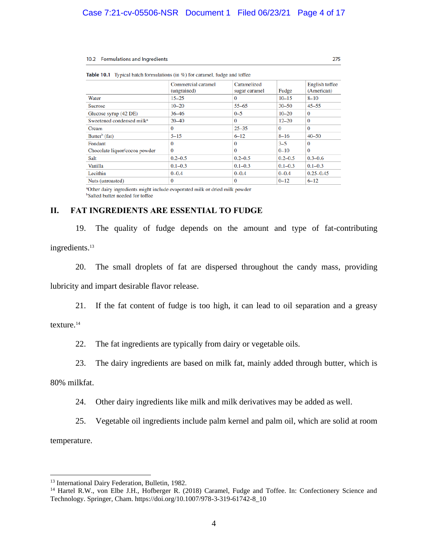#### 10.2 Formulations and Ingredients

|                                       | Commercial caramel<br>(ungrained) | Caramelized<br>sugar caramel | Fudge       | English toffee<br>(American) |
|---------------------------------------|-----------------------------------|------------------------------|-------------|------------------------------|
| Water                                 | $15 - 25$                         | $\Omega$                     | $10 - 15$   | $8 - 10$                     |
| <b>Sucrose</b>                        | $10 - 20$                         | $55 - 65$                    | $30 - 50$   | $45 - 55$                    |
| Glucose syrup (42 DE)                 | 36 46                             | $0 - 5$                      | $10 - 20$   | $\Omega$                     |
| Sweetened condensed milk <sup>a</sup> | $20 - 40$                         | $\Omega$                     | $12 - 20$   | $\Omega$                     |
| Cream                                 | $\Omega$                          | $25 - 35$                    | $\Omega$    | $\Omega$                     |
| Butter <sup>b</sup> (fat)             | $5 - 15$                          | $6 - 12$                     | $8 - 16$    | $40 - 50$                    |
| Fondant                               | $\Omega$                          | $\Omega$                     | $3 - 5$     | $\Omega$                     |
| Chocolate liquor/cocoa powder         | $\Omega$                          | $\Omega$                     | $0 - 10$    | $\Omega$                     |
| Salt                                  | $0.2 - 0.5$                       | $0.2 - 0.5$                  | $0.2 - 0.5$ | $0.3 - 0.6$                  |
| Vanilla                               | $0.1 - 0.3$                       | $0.1 - 0.3$                  | $0.1 - 0.3$ | $0.1 - 0.3$                  |
| Lecithin                              | $0 - 0.4$                         | $0 - 0.4$                    | $0 - 0.4$   | $0.25 - 0.45$                |
| Nuts (unroasted)                      | $\Omega$                          | $\Omega$                     | $0 - 12$    | $6 - 12$                     |

 $\frac{1}{2}$ coromal fudos and toffe  $\mathbf{r}$  and  $\mathbf{r}$  and  $\mathbf{r}$ **Table** 

<sup>a</sup>Other dairy ingredients might include evaporated milk or dried milk powder <sup>b</sup>Salted butter needed for toffee

### **II. FAT INGREDIENTS ARE ESSENTIAL TO FUDGE**

19. The quality of fudge depends on the amount and type of fat-contributing ingredients. 13

20. The small droplets of fat are dispersed throughout the candy mass, providing lubricity and impart desirable flavor release.

21. If the fat content of fudge is too high, it can lead to oil separation and a greasy

### texture.<sup>14</sup>

22. The fat ingredients are typically from dairy or vegetable oils.

23. The dairy ingredients are based on milk fat, mainly added through butter, which is

80% milkfat.

24. Other dairy ingredients like milk and milk derivatives may be added as well.

25. Vegetable oil ingredients include palm kernel and palm oil, which are solid at room temperature.

<sup>&</sup>lt;sup>13</sup> International Dairy Federation, Bulletin, 1982.

<sup>&</sup>lt;sup>14</sup> Hartel R.W., von Elbe J.H., Hofberger R. (2018) Caramel, Fudge and Toffee. In: Confectionery Science and Technology. Springer, Cham. https://doi.org/10.1007/978-3-319-61742-8\_10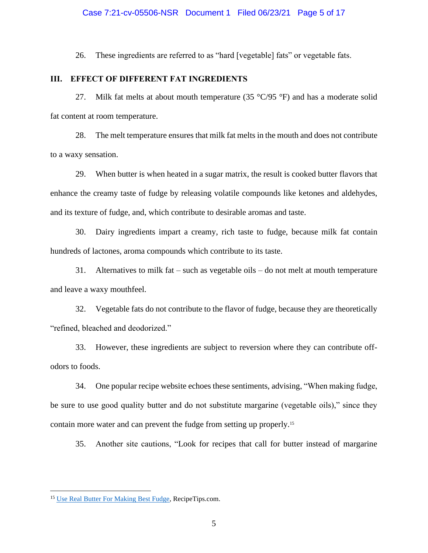#### Case 7:21-cv-05506-NSR Document 1 Filed 06/23/21 Page 5 of 17

26. These ingredients are referred to as "hard [vegetable] fats" or vegetable fats.

### **III. EFFECT OF DIFFERENT FAT INGREDIENTS**

27. Milk fat melts at about mouth temperature (35  $\degree$ C/95  $\degree$ F) and has a moderate solid fat content at room temperature.

28. The melt temperature ensures that milk fat melts in the mouth and does not contribute to a waxy sensation.

29. When butter is when heated in a sugar matrix, the result is cooked butter flavors that enhance the creamy taste of fudge by releasing volatile compounds like ketones and aldehydes, and its texture of fudge, and, which contribute to desirable aromas and taste.

30. Dairy ingredients impart a creamy, rich taste to fudge, because milk fat contain hundreds of lactones, aroma compounds which contribute to its taste.

31. Alternatives to milk fat – such as vegetable oils – do not melt at mouth temperature and leave a waxy mouthfeel.

32. Vegetable fats do not contribute to the flavor of fudge, because they are theoretically "refined, bleached and deodorized."

33. However, these ingredients are subject to reversion where they can contribute offodors to foods.

34. One popular recipe website echoes these sentiments, advising, "When making fudge, be sure to use good quality butter and do not substitute margarine (vegetable oils)," since they contain more water and can prevent the fudge from setting up properly.<sup>15</sup>

35. Another site cautions, "Look for recipes that call for butter instead of margarine

<sup>&</sup>lt;sup>15</sup> Use Real [Butter For Making Best Fudge,](https://www.recipetips.com/quick-tips-ideas/use-real-butter-for-making-best-fudge.asp) RecipeTips.com.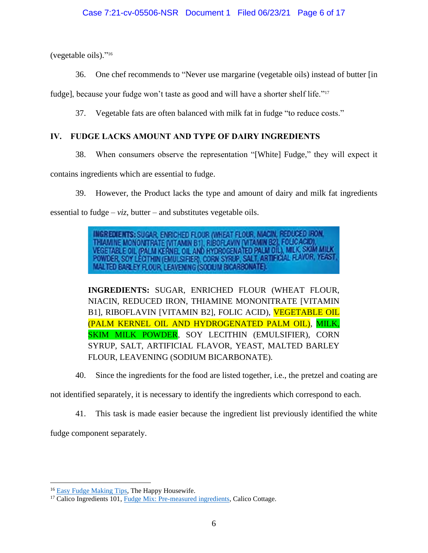(vegetable oils)." 16

36. One chef recommends to "Never use margarine (vegetable oils) instead of butter [in

fudge], because your fudge won't taste as good and will have a shorter shelf life."<sup>17</sup>

37. Vegetable fats are often balanced with milk fat in fudge "to reduce costs."

# **IV. FUDGE LACKS AMOUNT AND TYPE OF DAIRY INGREDIENTS**

38. When consumers observe the representation "[White] Fudge," they will expect it

contains ingredients which are essential to fudge.

39. However, the Product lacks the type and amount of dairy and milk fat ingredients essential to fudge –  $viz$ , butter – and substitutes vegetable oils.

> **INGREDIENTS: SUGAR, ENRICHED FLOUR (WHEAT FLOUR, NIACIN, REDUCED IRON,** THIAMINE MONONITRATE (VITAMIN B1), RIBOFLAVIN (VITAMIN B2), FOLICACID), VEGETABLE OIL (PALM KERNEL OIL AND HYDROGENATED PALM OIL), MILK, SKIM MILK<br>POWDER, SOY LECTHIN (EMULSIFIER), CORN SYRJP, SALT, ARTIFICIAL FLAVOR, YEAS MALTED BARLEY FLOUR, LEAVENING (SODIJIM BICARBONATE).

**INGREDIENTS:** SUGAR, ENRICHED FLOUR (WHEAT FLOUR, NIACIN, REDUCED IRON, THIAMINE MONONITRATE [VITAMIN B1], RIBOFLAVIN [VITAMIN B2], FOLIC ACID), VEGETABLE OIL (PALM KERNEL OIL AND HYDROGENATED PALM OIL), MILK, SKIM MILK POWDER, SOY LECITHIN (EMULSIFIER), CORN SYRUP, SALT, ARTIFICIAL FLAVOR, YEAST, MALTED BARLEY FLOUR, LEAVENING (SODIUM BICARBONATE).

40. Since the ingredients for the food are listed together, i.e., the pretzel and coating are

not identified separately, it is necessary to identify the ingredients which correspond to each.

41. This task is made easier because the ingredient list previously identified the white

fudge component separately.

<sup>&</sup>lt;sup>16</sup> [Easy Fudge Making Tips,](https://thehappyhousewife.com/cooking/easy-fudge-making-tips/) The Happy Housewife.

<sup>&</sup>lt;sup>17</sup> Calico Ingredients 101, [Fudge Mix: Pre-measured ingredients,](https://www.calicocottage.com/make-kettle-fudge/fudge-nutrition-ingredients/only-the-best-whats-inside-our-fabulous-fudge) Calico Cottage.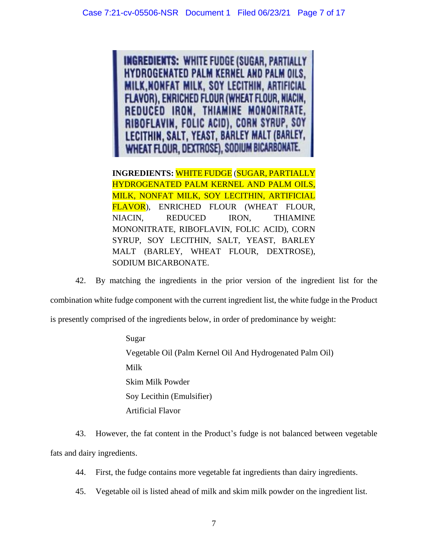**INGREDIENTS: WHITE FUDGE (SUGAR, PARTIALLY HYDROGENATED PALM KERNEL AND PALM OILS, MILK, NONFAT MILK, SOY LECITHIN, ARTIFICIAL FLAVOR), ENRICHED FLOUR (WHEAT FLOUR, NIACIN,** REDUCED IRON, THIAMINE MONONITRATE, RIBOFLAVIN, FOLIC ACID), CORN SYRUP, SOY LECITHIN, SALT, YEAST, BARLEY MALT (BARLEY, WHEAT FLOUR, DEXTROSE), SODIUM BICARBONATE.

**INGREDIENTS:** WHITE FUDGE (SUGAR, PARTIALLY HYDROGENATED PALM KERNEL AND PALM OILS, MILK, NONFAT MILK, SOY LECITHIN, ARTIFICIAL FLAVOR), ENRICHED FLOUR (WHEAT FLOUR, NIACIN, REDUCED IRON, THIAMINE MONONITRATE, RIBOFLAVIN, FOLIC ACID), CORN SYRUP, SOY LECITHIN, SALT, YEAST, BARLEY MALT (BARLEY, WHEAT FLOUR, DEXTROSE), SODIUM BICARBONATE.

42. By matching the ingredients in the prior version of the ingredient list for the combination white fudge component with the current ingredient list, the white fudge in the Product is presently comprised of the ingredients below, in order of predominance by weight:

> Sugar Vegetable Oil (Palm Kernel Oil And Hydrogenated Palm Oil) Milk Skim Milk Powder Soy Lecithin (Emulsifier) Artificial Flavor

43. However, the fat content in the Product's fudge is not balanced between vegetable fats and dairy ingredients.

44. First, the fudge contains more vegetable fat ingredients than dairy ingredients.

45. Vegetable oil is listed ahead of milk and skim milk powder on the ingredient list.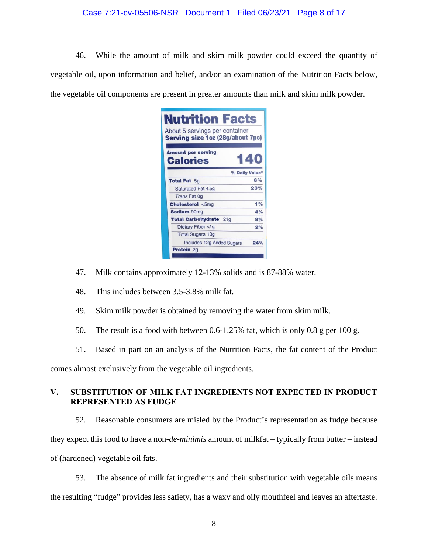### Case 7:21-cv-05506-NSR Document 1 Filed 06/23/21 Page 8 of 17

46. While the amount of milk and skim milk powder could exceed the quantity of vegetable oil, upon information and belief, and/or an examination of the Nutrition Facts below, the vegetable oil components are present in greater amounts than milk and skim milk powder.

| <b>Nutrition Facts</b><br>About 5 servings per container<br>Serving size 1 oz (28g/about 7pc) |                |
|-----------------------------------------------------------------------------------------------|----------------|
| <b>Amount per serving</b><br><b>Calories</b>                                                  | 140            |
|                                                                                               | % Daily Value* |
| <b>Total Fat 5g</b>                                                                           | 6%             |
| Saturated Fat 4.5q                                                                            | 23%            |
| <b>Trans Fat Og</b>                                                                           |                |
| <b>Cholesterol &lt;5mg</b>                                                                    | 1%             |
| <b>Sodium 90mg</b>                                                                            | 4%             |
| <b>Total Carbohydrate</b><br>21 <sub>g</sub>                                                  | 8%             |
| Dietary Fiber <1g                                                                             | 2%             |
| <b>Total Sugars 13g</b>                                                                       |                |
| Includes 12g Added Sugars                                                                     | 24%            |
| <b>Protein 2g</b>                                                                             |                |
|                                                                                               |                |

- 47. Milk contains approximately 12-13% solids and is 87-88% water.
- 48. This includes between 3.5-3.8% milk fat.
- 49. Skim milk powder is obtained by removing the water from skim milk.
- 50. The result is a food with between 0.6-1.25% fat, which is only 0.8 g per 100 g.
- 51. Based in part on an analysis of the Nutrition Facts, the fat content of the Product

comes almost exclusively from the vegetable oil ingredients.

# **V. SUBSTITUTION OF MILK FAT INGREDIENTS NOT EXPECTED IN PRODUCT REPRESENTED AS FUDGE**

52. Reasonable consumers are misled by the Product's representation as fudge because they expect this food to have a non-*de-minimis* amount of milkfat – typically from butter – instead of (hardened) vegetable oil fats.

53. The absence of milk fat ingredients and their substitution with vegetable oils means the resulting "fudge" provides less satiety, has a waxy and oily mouthfeel and leaves an aftertaste.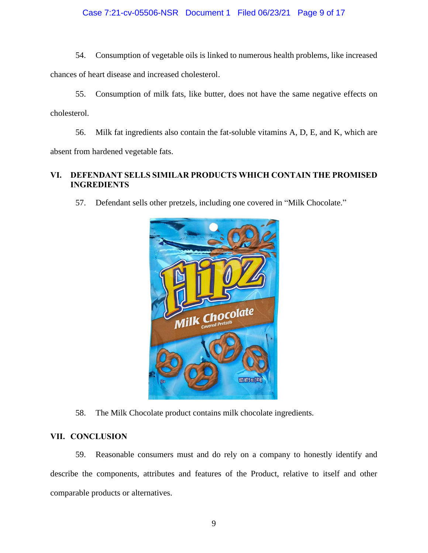## Case 7:21-cv-05506-NSR Document 1 Filed 06/23/21 Page 9 of 17

54. Consumption of vegetable oils is linked to numerous health problems, like increased chances of heart disease and increased cholesterol.

55. Consumption of milk fats, like butter, does not have the same negative effects on cholesterol.

56. Milk fat ingredients also contain the fat-soluble vitamins A, D, E, and K, which are absent from hardened vegetable fats.

# **VI. DEFENDANT SELLS SIMILAR PRODUCTS WHICH CONTAIN THE PROMISED INGREDIENTS**

57. Defendant sells other pretzels, including one covered in "Milk Chocolate."



58. The Milk Chocolate product contains milk chocolate ingredients.

### **VII. CONCLUSION**

59. Reasonable consumers must and do rely on a company to honestly identify and describe the components, attributes and features of the Product, relative to itself and other comparable products or alternatives.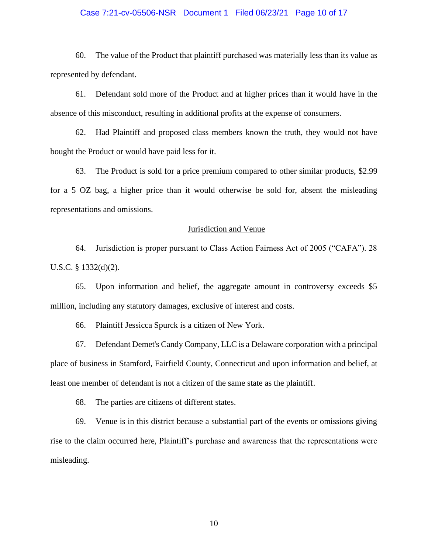#### Case 7:21-cv-05506-NSR Document 1 Filed 06/23/21 Page 10 of 17

60. The value of the Product that plaintiff purchased was materially less than its value as represented by defendant.

61. Defendant sold more of the Product and at higher prices than it would have in the absence of this misconduct, resulting in additional profits at the expense of consumers.

62. Had Plaintiff and proposed class members known the truth, they would not have bought the Product or would have paid less for it.

63. The Product is sold for a price premium compared to other similar products, \$2.99 for a 5 OZ bag, a higher price than it would otherwise be sold for, absent the misleading representations and omissions.

#### Jurisdiction and Venue

64. Jurisdiction is proper pursuant to Class Action Fairness Act of 2005 ("CAFA"). 28 U.S.C. § 1332(d)(2).

65. Upon information and belief, the aggregate amount in controversy exceeds \$5 million, including any statutory damages, exclusive of interest and costs.

66. Plaintiff Jessicca Spurck is a citizen of New York.

67. Defendant Demet's Candy Company, LLC is a Delaware corporation with a principal place of business in Stamford, Fairfield County, Connecticut and upon information and belief, at least one member of defendant is not a citizen of the same state as the plaintiff.

68. The parties are citizens of different states.

69. Venue is in this district because a substantial part of the events or omissions giving rise to the claim occurred here, Plaintiff's purchase and awareness that the representations were misleading.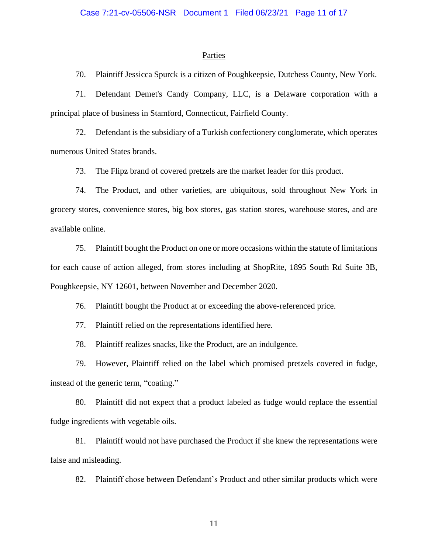#### **Parties**

70. Plaintiff Jessicca Spurck is a citizen of Poughkeepsie, Dutchess County, New York.

71. Defendant Demet's Candy Company, LLC, is a Delaware corporation with a principal place of business in Stamford, Connecticut, Fairfield County.

72. Defendant is the subsidiary of a Turkish confectionery conglomerate, which operates numerous United States brands.

73. The Flipz brand of covered pretzels are the market leader for this product.

74. The Product, and other varieties, are ubiquitous, sold throughout New York in grocery stores, convenience stores, big box stores, gas station stores, warehouse stores, and are available online.

75. Plaintiff bought the Product on one or more occasions within the statute of limitations for each cause of action alleged, from stores including at ShopRite, 1895 South Rd Suite 3B, Poughkeepsie, NY 12601, between November and December 2020.

76. Plaintiff bought the Product at or exceeding the above-referenced price.

77. Plaintiff relied on the representations identified here.

78. Plaintiff realizes snacks, like the Product, are an indulgence.

79. However, Plaintiff relied on the label which promised pretzels covered in fudge, instead of the generic term, "coating."

80. Plaintiff did not expect that a product labeled as fudge would replace the essential fudge ingredients with vegetable oils.

81. Plaintiff would not have purchased the Product if she knew the representations were false and misleading.

82. Plaintiff chose between Defendant's Product and other similar products which were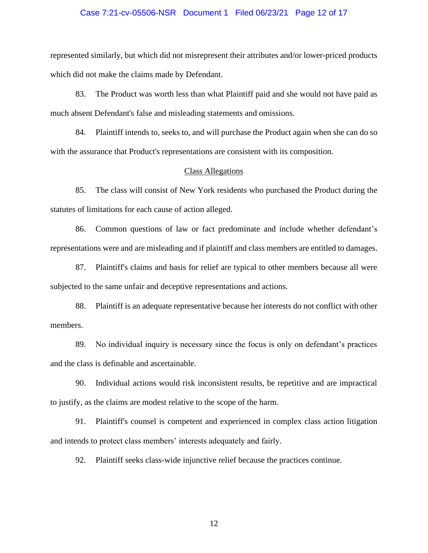# Case 7:21-cv-05506-NSR Document 1 Filed 06/23/21 Page 12 of 17

represented similarly, but which did not misrepresent their attributes and/or lower-priced products which did not make the claims made by Defendant.

83. The Product was worth less than what Plaintiff paid and she would not have paid as much absent Defendant's false and misleading statements and omissions.

84. Plaintiff intends to, seeks to, and will purchase the Product again when she can do so with the assurance that Product's representations are consistent with its composition.

#### Class Allegations

85. The class will consist of New York residents who purchased the Product during the statutes of limitations for each cause of action alleged.

86. Common questions of law or fact predominate and include whether defendant's representations were and are misleading and if plaintiff and class members are entitled to damages.

87. Plaintiff's claims and basis for relief are typical to other members because all were subjected to the same unfair and deceptive representations and actions.

88. Plaintiff is an adequate representative because her interests do not conflict with other members.

89. No individual inquiry is necessary since the focus is only on defendant's practices and the class is definable and ascertainable.

90. Individual actions would risk inconsistent results, be repetitive and are impractical to justify, as the claims are modest relative to the scope of the harm.

91. Plaintiff's counsel is competent and experienced in complex class action litigation and intends to protect class members' interests adequately and fairly.

92. Plaintiff seeks class-wide injunctive relief because the practices continue.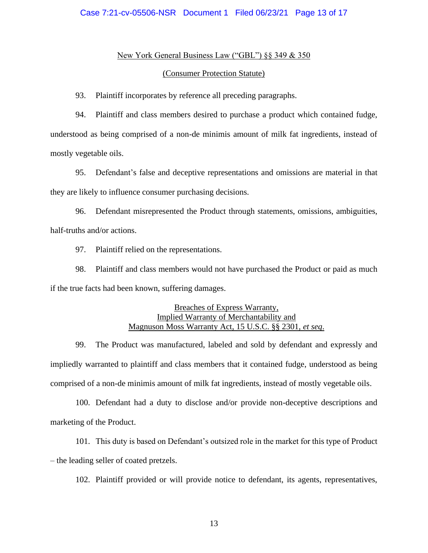#### New York General Business Law ("GBL") §§ 349 & 350

#### (Consumer Protection Statute)

93. Plaintiff incorporates by reference all preceding paragraphs.

94. Plaintiff and class members desired to purchase a product which contained fudge, understood as being comprised of a non-de minimis amount of milk fat ingredients, instead of mostly vegetable oils.

95. Defendant's false and deceptive representations and omissions are material in that they are likely to influence consumer purchasing decisions.

96. Defendant misrepresented the Product through statements, omissions, ambiguities, half-truths and/or actions.

97. Plaintiff relied on the representations.

98. Plaintiff and class members would not have purchased the Product or paid as much if the true facts had been known, suffering damages.

## Breaches of Express Warranty, Implied Warranty of Merchantability and Magnuson Moss Warranty Act, 15 U.S.C. §§ 2301, *et seq*.

99. The Product was manufactured, labeled and sold by defendant and expressly and impliedly warranted to plaintiff and class members that it contained fudge, understood as being comprised of a non-de minimis amount of milk fat ingredients, instead of mostly vegetable oils.

100. Defendant had a duty to disclose and/or provide non-deceptive descriptions and marketing of the Product.

101. This duty is based on Defendant's outsized role in the market for this type of Product – the leading seller of coated pretzels.

102. Plaintiff provided or will provide notice to defendant, its agents, representatives,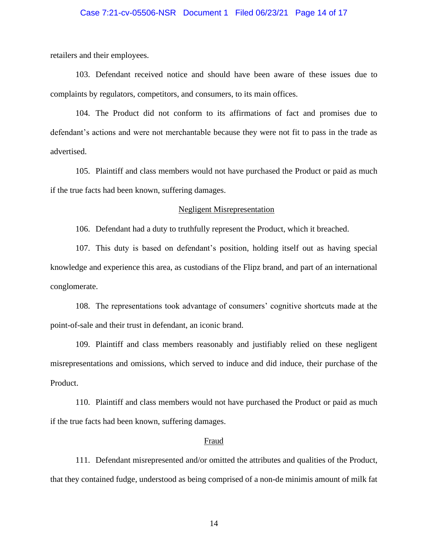#### Case 7:21-cv-05506-NSR Document 1 Filed 06/23/21 Page 14 of 17

retailers and their employees.

103. Defendant received notice and should have been aware of these issues due to complaints by regulators, competitors, and consumers, to its main offices.

104. The Product did not conform to its affirmations of fact and promises due to defendant's actions and were not merchantable because they were not fit to pass in the trade as advertised.

105. Plaintiff and class members would not have purchased the Product or paid as much if the true facts had been known, suffering damages.

#### Negligent Misrepresentation

106. Defendant had a duty to truthfully represent the Product, which it breached.

107. This duty is based on defendant's position, holding itself out as having special knowledge and experience this area, as custodians of the Flipz brand, and part of an international conglomerate.

108. The representations took advantage of consumers' cognitive shortcuts made at the point-of-sale and their trust in defendant, an iconic brand.

109. Plaintiff and class members reasonably and justifiably relied on these negligent misrepresentations and omissions, which served to induce and did induce, their purchase of the Product.

110. Plaintiff and class members would not have purchased the Product or paid as much if the true facts had been known, suffering damages.

#### Fraud

111. Defendant misrepresented and/or omitted the attributes and qualities of the Product, that they contained fudge, understood as being comprised of a non-de minimis amount of milk fat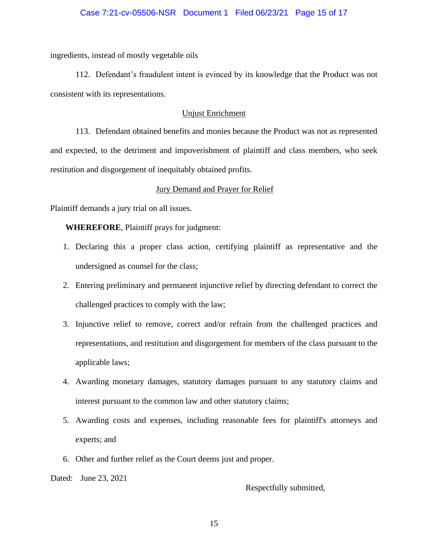### Case 7:21-cv-05506-NSR Document 1 Filed 06/23/21 Page 15 of 17

ingredients, instead of mostly vegetable oils

112. Defendant's fraudulent intent is evinced by its knowledge that the Product was not consistent with its representations.

### Unjust Enrichment

113. Defendant obtained benefits and monies because the Product was not as represented and expected, to the detriment and impoverishment of plaintiff and class members, who seek restitution and disgorgement of inequitably obtained profits.

### Jury Demand and Prayer for Relief

Plaintiff demands a jury trial on all issues.

**WHEREFORE**, Plaintiff prays for judgment:

- 1. Declaring this a proper class action, certifying plaintiff as representative and the undersigned as counsel for the class;
- 2. Entering preliminary and permanent injunctive relief by directing defendant to correct the challenged practices to comply with the law;
- 3. Injunctive relief to remove, correct and/or refrain from the challenged practices and representations, and restitution and disgorgement for members of the class pursuant to the applicable laws;
- 4. Awarding monetary damages, statutory damages pursuant to any statutory claims and interest pursuant to the common law and other statutory claims;
- 5. Awarding costs and expenses, including reasonable fees for plaintiff's attorneys and experts; and
- 6. Other and further relief as the Court deems just and proper.

Dated: June 23, 2021

Respectfully submitted,